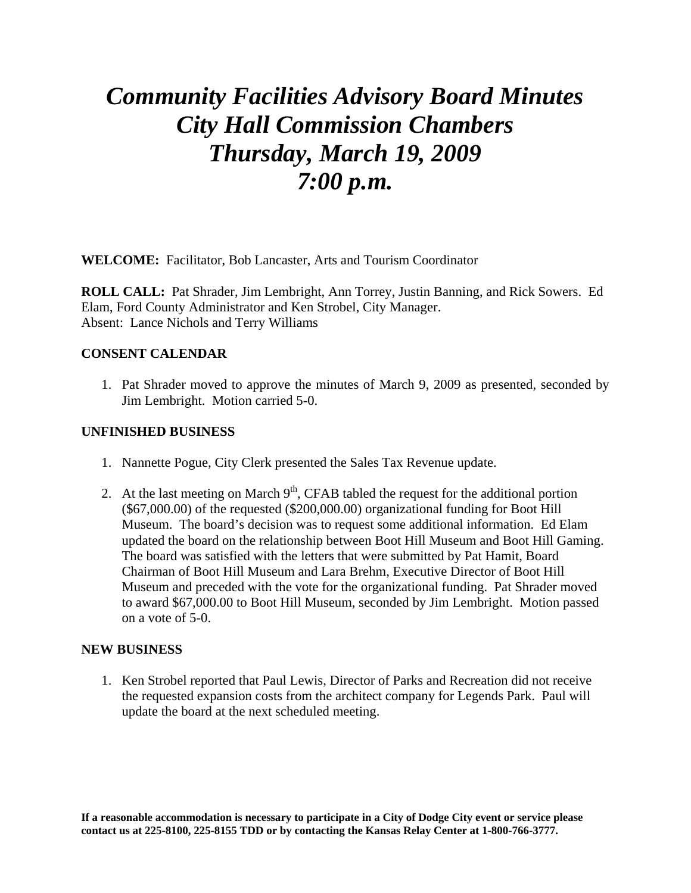# *Community Facilities Advisory Board Minutes City Hall Commission Chambers Thursday, March 19, 2009 7:00 p.m.*

**WELCOME:** Facilitator, Bob Lancaster, Arts and Tourism Coordinator

**ROLL CALL:** Pat Shrader, Jim Lembright, Ann Torrey, Justin Banning, and Rick Sowers. Ed Elam, Ford County Administrator and Ken Strobel, City Manager. Absent: Lance Nichols and Terry Williams

# **CONSENT CALENDAR**

1. Pat Shrader moved to approve the minutes of March 9, 2009 as presented, seconded by Jim Lembright. Motion carried 5-0.

# **UNFINISHED BUSINESS**

- 1. Nannette Pogue, City Clerk presented the Sales Tax Revenue update.
- 2. At the last meeting on March  $9<sup>th</sup>$ , CFAB tabled the request for the additional portion (\$67,000.00) of the requested (\$200,000.00) organizational funding for Boot Hill Museum. The board's decision was to request some additional information. Ed Elam updated the board on the relationship between Boot Hill Museum and Boot Hill Gaming. The board was satisfied with the letters that were submitted by Pat Hamit, Board Chairman of Boot Hill Museum and Lara Brehm, Executive Director of Boot Hill Museum and preceded with the vote for the organizational funding. Pat Shrader moved to award \$67,000.00 to Boot Hill Museum, seconded by Jim Lembright. Motion passed on a vote of 5-0.

### **NEW BUSINESS**

1. Ken Strobel reported that Paul Lewis, Director of Parks and Recreation did not receive the requested expansion costs from the architect company for Legends Park. Paul will update the board at the next scheduled meeting.